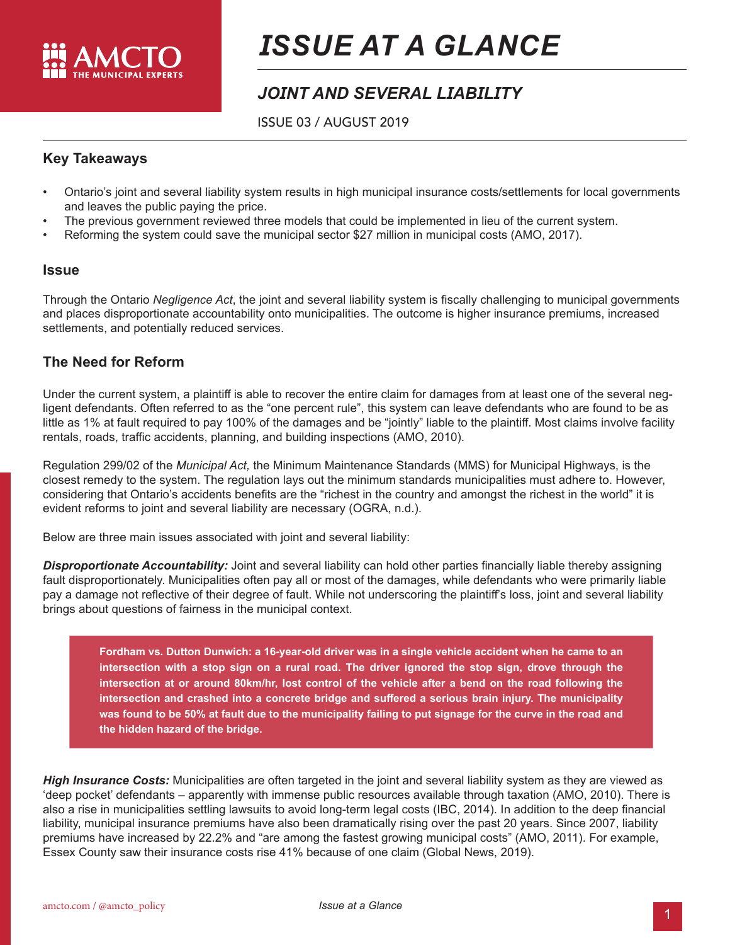

# *ISSUE AT A GLANCE*

# *JOINT AND SEVERAL LIABILITY*

ISSUE 03 / AUGUST 2019

### **Key Takeaways**

- Ontario's joint and several liability system results in high municipal insurance costs/settlements for local governments and leaves the public paying the price.
- The previous government reviewed three models that could be implemented in lieu of the current system.
- Reforming the system could save the municipal sector \$27 million in municipal costs (AMO, 2017).

#### **Issue**

Through the Ontario *Negligence Act*, the joint and several liability system is fiscally challenging to municipal governments and places disproportionate accountability onto municipalities. The outcome is higher insurance premiums, increased settlements, and potentially reduced services.

## **The Need for Reform**

Under the current system, a plaintiff is able to recover the entire claim for damages from at least one of the several negligent defendants. Often referred to as the "one percent rule", this system can leave defendants who are found to be as little as 1% at fault required to pay 100% of the damages and be "jointly" liable to the plaintiff. Most claims involve facility rentals, roads, traffic accidents, planning, and building inspections (AMO, 2010).

Regulation 299/02 of the *Municipal Act,* the Minimum Maintenance Standards (MMS) for Municipal Highways, is the closest remedy to the system. The regulation lays out the minimum standards municipalities must adhere to. However, considering that Ontario's accidents benefits are the "richest in the country and amongst the richest in the world" it is evident reforms to joint and several liability are necessary (OGRA, n.d.).

Below are three main issues associated with joint and several liability:

*Disproportionate Accountability:* Joint and several liability can hold other parties financially liable thereby assigning fault disproportionately. Municipalities often pay all or most of the damages, while defendants who were primarily liable pay a damage not reflective of their degree of fault. While not underscoring the plaintiff's loss, joint and several liability brings about questions of fairness in the municipal context.

**Fordham vs. Dutton Dunwich: a 16-year-old driver was in a single vehicle accident when he came to an intersection with a stop sign on a rural road. The driver ignored the stop sign, drove through the intersection at or around 80km/hr, lost control of the vehicle after a bend on the road following the intersection and crashed into a concrete bridge and suffered a serious brain injury. The municipality was found to be 50% at fault due to the municipality failing to put signage for the curve in the road and the hidden hazard of the bridge.** 

*High Insurance Costs:* Municipalities are often targeted in the joint and several liability system as they are viewed as 'deep pocket' defendants – apparently with immense public resources available through taxation (AMO, 2010). There is also a rise in municipalities settling lawsuits to avoid long-term legal costs (IBC, 2014). In addition to the deep financial liability, municipal insurance premiums have also been dramatically rising over the past 20 years. Since 2007, liability premiums have increased by 22.2% and "are among the fastest growing municipal costs" (AMO, 2011). For example, Essex County saw their insurance costs rise 41% because of one claim (Global News, 2019).